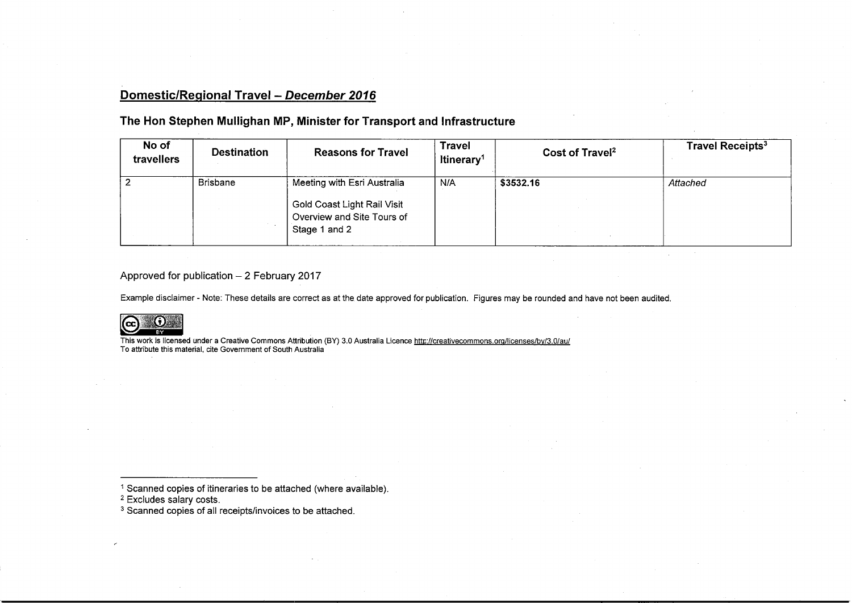# Domestic/Regional Travel - December 2016

## The Hon Stephen Mullighan MP, Minister for Transport and Infrastructure

| No of<br>travellers | <b>Destination</b> | <b>Reasons for Travel</b>                                                                                 | <b>Travel</b><br>ltinerary <sup>1</sup> | Cost of Travel <sup>2</sup> | Travel Receipts <sup>3</sup> |
|---------------------|--------------------|-----------------------------------------------------------------------------------------------------------|-----------------------------------------|-----------------------------|------------------------------|
|                     | <b>Brisbane</b>    | Meeting with Esri Australia<br>Gold Coast Light Rail Visit<br>Overview and Site Tours of<br>Stage 1 and 2 | N/A                                     | \$3532.16                   | Attached                     |

#### Approved for publication  $-2$  February 2017

Example disclaimer - Note: These details are correct as at the date approved for publication. Figures may be rounded and have not been audited.



This work is licensed under a Creative Commons Attribution (BY) 3.0 Australia Licence <u>http://creativecommons.org/licenses/by/3.0/au</u><br>To attribute this material, cite Government of South Australia

<sup>1</sup> Scanned copies of itineraries to be attached (where available)<br><sup>2</sup> Excludes salary costs.<br><sup>3</sup> Scanned copies of all receipts/invoices to be attached.

- 
-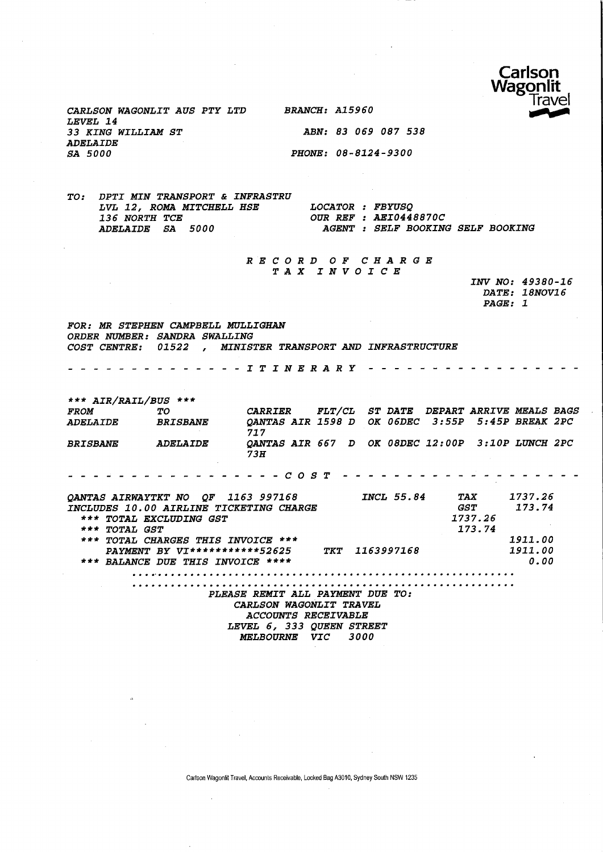

CARLSON WAGONLIT AUS PTY LTD BRANCH: A15960 LEVEL 14 33 KING WILLIAM ST ABN: 83 069 087 538 ADELAIDE SA 5000 PHONE: 08-8124-9300

TO: DPTI MIN TRANSPORT & INFRASTRU LVL 12, ROMA MITCHELL HSE LOCATOR : FBYUSQ<br>136 NORTH TCE **OUR REF** : AEI044. 136 NORTH TCE **OUR REF : AEI0448870C**<br>
ADELAIDE SA 5000 **AGENT : SELF BOOKIN** AGENT : SELF BOOKING SELF BOOKING

> RECORD OF CHARGE TAX INVOICE

|                | INV NO: 49380-16 |
|----------------|------------------|
|                | DATE: 18NOV16    |
| <i>PAGE: 1</i> |                  |

FOR: MR STEPHEN CAMPBELL MULLIGHAN ORDER NUMBER: SANDRA SWALLING COST CENTRE: 01522 , MINISTER TRANSPORT AND INFRASTRUCTURE

- - - - - - - - - - *I T I N E R A R Y - - - -*. . . . . *. .* . .

\*\*\* AIR/RAIL/BUS \*\*\* FROM TO CARRIER FLT/CL ST\_DATE DEPART\_ARRIVE\_MEALS\_BAGS<br>ADELAIDE BRISBANE OANTAS\_AIR\_1598\_D OK\_06DEC 3:55P 5:45P\_BREAK\_2PC ADELAIDE BRISBANE QANTAS AIR 1598 D OK 06DEC 3:55P 5:45P BREAK 2PC 727 BRISBANE ADELAIDE QANTAS AIR 667 D OK 08DEC 12:00P 3:10P LUNCH 2PC 73H . . . . . . . . . . . . . . . . *C O S T . . . . . . . . . . . . .* . . . . . 1737.26 QANTAS AIRWAYTKT NO QF 1163 997168 INCL 55.84 TAX INCLUDES 10.00 AIRLINE TICKETING CHARGE 173.74 GST \*\*\* TOTAL EXCLUDING GST 1737. 26 \*\*\* TOTAL GST 173. 74 \*\*\* TOTAL CHARGES THIS INVOICE \*\*\* 1911.00 1911.00 PAYMENT BY VI\*\*\*\*\*\*\*\*\*\*\* 52625 TKT 1163997168 \*\*\* BALANCE DUE THIS INVOICE \*\*\*\* 0.00 PLEASE REMIT ALL PAYMENT DUE TO: CARLSON WAGONLIT TRAVEL

ACCOUNTS RECEIVABLE LEVEL 6, 333 QUEEN STREET MELBOURNE VIC 3000

Cartson Wagonlit Travel, Accounts Receivable, Locked Bag A3010, Sydney South NSW 1235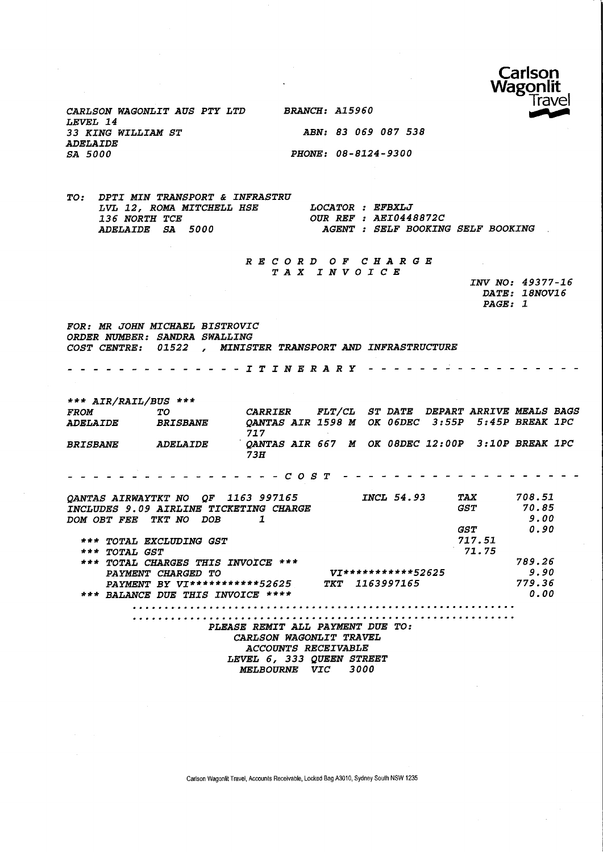

CARLSON WAGONLIT AUS PTY LTD BRANCH: A15960 LEVEL 14 33 KING WILLIAM ST ABN: 83 069 087 538 ADELAIDE<br>SA 5000

PHONE: 08-8124-9300

TO: DPTI MIN TRANSPORT & INFRASTRU LVL 12, ROMA MITCHELL HSE LOCATOR : EFBXLJ 136 NORTH TCE **OUR REF : AEI0448872C**<br>
ADELAIDE SA 5000 **AGENT : SELF BOOKING** AGENT : SELF BOOKING SELF BOOKING

> RECORD OF CHARGE TAX INVOICE

INV NO: 49377-16 DATE: 18NOV16 PAGE: 1

FOR: MR JOHN MICHAEL BISTROVIC ORDER NUMBER: SANDRA SWALLING COST CENTRE: 01522 , MINISTER TRANSPORT AND INFRASTRUCTURE

ITINERARY

\*\*\* AIR/RAIL/BUS \*\*\* FROM TO CARRIER FLT/CL ST DATE DEPART ARRIVE MEALS BAGS ADELAIDE BRISBANE QANTAS AIR 1598 M OK 06DEC 3:55P 5:45P BREAK I PC 717 BRISBANE ADELAIDE QANTAS AIR 667 M OK 08DEC 12:00P 3:10P BREAK 1PC 73H COST QANTAS AIRWAYTKT NO QF 1163 997165 INCL 54.93 TAX 708.51 GST 70.85 INCLUDES 9.09 AIRLINE TICKETING CHARGE 5.00 DOM OBT FEE TKT NO DOB 1 GST 0.50 717.51 \*\*\* TOTAL EXCLUDING GST \*\*\* TOTAL GST 71.75 789.26 \*\*\* TOTAL CHARGES THIS INVOICE \*\*\* yj\*\*\*\*\*\* \* \* \* \* \* 52625 9.90 PAYMENT CHARGED TO PAYMENT BY VI\*\*\*\*\*\*\*\*\*\*\*52625 TKT 1163997165 779.36 \*\*\* BALANCE DUE THIS INVOICE \*\*\*\* 0.00 PLEASE REMIT ALL PAYMENT DUE TO: CARLSON WAGONLIT TRAVEL ACCOUNTS RECEIVABLE LEVEL 6, 333 QUEEN STREET MELBOURNE VIC 3000

Carlson Wagonlit Travel, Accounts Receivable, Locked Bag A3010, Sydney South NSW 1235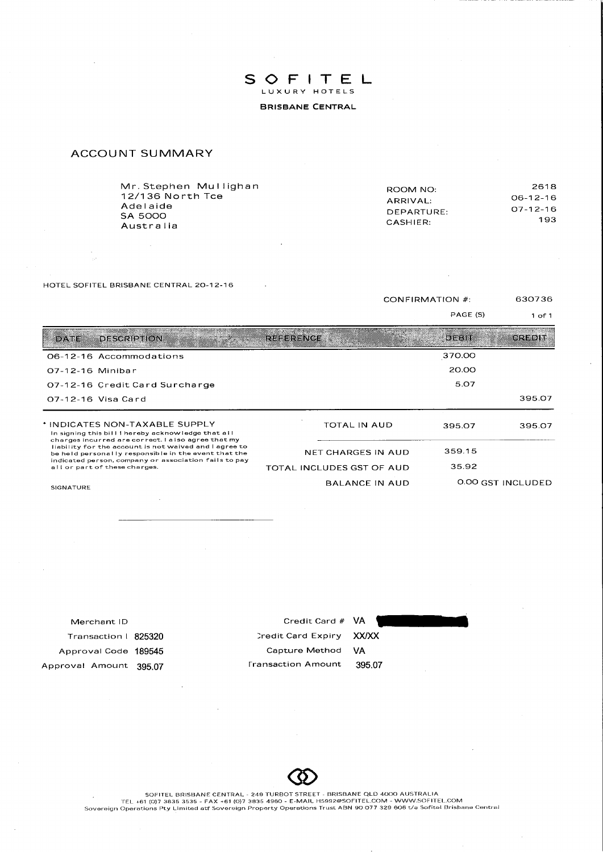SOFITEL LUXURY HOTELS **BRISBANE CENTRAL** 

## **ACCOUNT SUMMARY**

HOTEL SOFITEL BRISBANE CENTRAL 20-12-16

**CONFIRMATION #:** 

PAGE (S)

630736  $1$  of  $1$ 

| DAIE<br><b>DESCRIPTION</b>                                                                                                                                           | <b>REFERENCE</b>          | DEBIT  | CREDIT            |
|----------------------------------------------------------------------------------------------------------------------------------------------------------------------|---------------------------|--------|-------------------|
| 06-12-16 Accommodations                                                                                                                                              |                           | 370.00 |                   |
| 07-12-16 Minibar                                                                                                                                                     |                           | 20.00  |                   |
| 07-12-16 Credit Card Surcharge                                                                                                                                       |                           | 5.07   |                   |
| 07-12-16 Visa Card                                                                                                                                                   |                           |        | 395.07            |
| * INDICATES NON-TAXABLE SUPPLY<br>In signing this bill I hereby acknowledge that all                                                                                 | <b>TOTAL IN AUD</b>       | 395.07 | 395.07            |
| charges incurred are correct. I also agree that my<br>liability for the account is not waived and I agree to<br>be held personally responsible in the event that the | NET CHARGES IN AUD        | 359.15 |                   |
| indicated person, company or association fails to pay<br>all or part of these charges.                                                                               | TOTAL INCLUDES GST OF AUD | 35.92  |                   |
| <b>SIGNATURE</b>                                                                                                                                                     | <b>BALANCE IN AUD</b>     |        | 0.00 GST INCLUDED |

| Merchant ID            | Credit Card # VA          |        |
|------------------------|---------------------------|--------|
| Transaction   825320   | Credit Card Expiry        | XX/XX  |
| Approval Code 189545   | Capture Method            | VA     |
| Approval Amount 395.07 | <b>Fransaction Amount</b> | 395.07 |
|                        |                           |        |
|                        |                           |        |

SOFITEL BRISBANE CENTRAL - 249 TURBOT STREET - BRISBANE QLD 4000 AUSTRALIA<br>TEL +61 (0)7 3835 3535 - FAX +61 (0)7 3835 4960 - E-MAIL H5992@SOFITEL.COM - WWW.SOFITEL.COM<br>Sovereign Operations Pty Limited atf Sovereign Propert